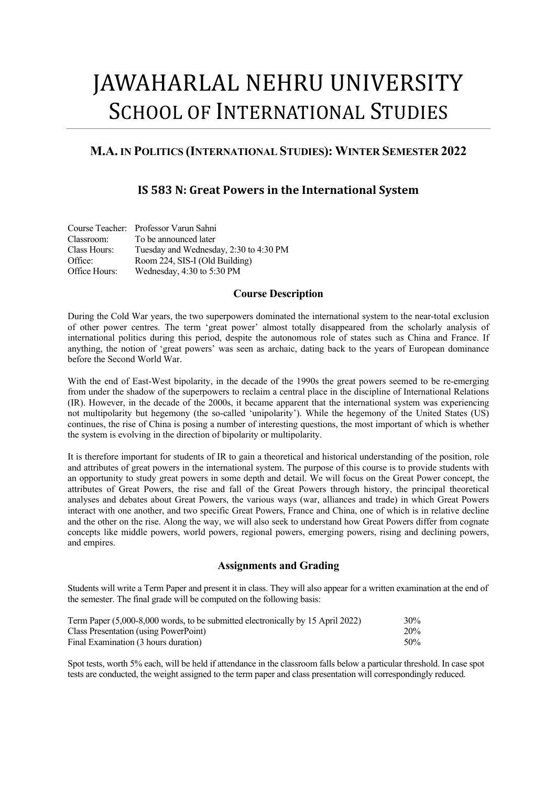# JAWAHARLAL NEHRU UNIVERSITY SCHOOL OF INTERNATIONAL STUDIES

# **M.A. IN POLITICS (INTERNATIONAL STUDIES): WINTER SEMESTER 2022**

# **IS** 583 N: Great Powers in the International System

|               | Course Teacher: Professor Varun Sahni  |
|---------------|----------------------------------------|
| Classroom:    | To be announced later                  |
| Class Hours:  | Tuesday and Wednesday, 2:30 to 4:30 PM |
| Office:       | Room 224, SIS-I (Old Building)         |
| Office Hours: | Wednesday, 4:30 to 5:30 PM             |

## **Course Description**

During the Cold War years, the two superpowers dominated the international system to the near-total exclusion of other power centres. The term 'great power' almost totally disappeared from the scholarly analysis of international politics during this period, despite the autonomous role of states such as China and France. If anything, the notion of 'great powers' was seen as archaic, dating back to the years of European dominance before the Second World War.

With the end of East-West bipolarity, in the decade of the 1990s the great powers seemed to be re-emerging from under the shadow of the superpowers to reclaim a central place in the discipline of International Relations (IR). However, in the decade of the 2000s, it became apparent that the international system was experiencing not multipolarity but hegemony (the so-called 'unipolarity'). While the hegemony of the United States (US) continues, the rise of China is posing a number of interesting questions, the most important of which is whether the system is evolving in the direction of bipolarity or multipolarity.

It is therefore important for students of IR to gain a theoretical and historical understanding of the position, role and attributes of great powers in the international system. The purpose of this course is to provide students with an opportunity to study great powers in some depth and detail. We will focus on the Great Power concept, the attributes of Great Powers, the rise and fall of the Great Powers through history, the principal theoretical analyses and debates about Great Powers, the various ways (war, alliances and trade) in which Great Powers interact with one another, and two specific Great Powers, France and China, one of which is in relative decline and the other on the rise. Along the way, we will also seek to understand how Great Powers differ from cognate concepts like middle powers, world powers, regional powers, emerging powers, rising and declining powers, and empires.

## **Assignments and Grading**

Students will write a Term Paper and present it in class. They will also appear for a written examination at the end of the semester. The final grade will be computed on the following basis:

| Term Paper (5,000–8,000 words, to be submitted electronically by 15 April 2022) | 30% |
|---------------------------------------------------------------------------------|-----|
| Class Presentation (using PowerPoint)                                           | 20% |
| Final Examination (3 hours duration)                                            | 50% |

Spot tests, worth 5% each, will be held if attendance in the classroom falls below a particular threshold. In case spot tests are conducted, the weight assigned to the term paper and class presentation will correspondingly reduced.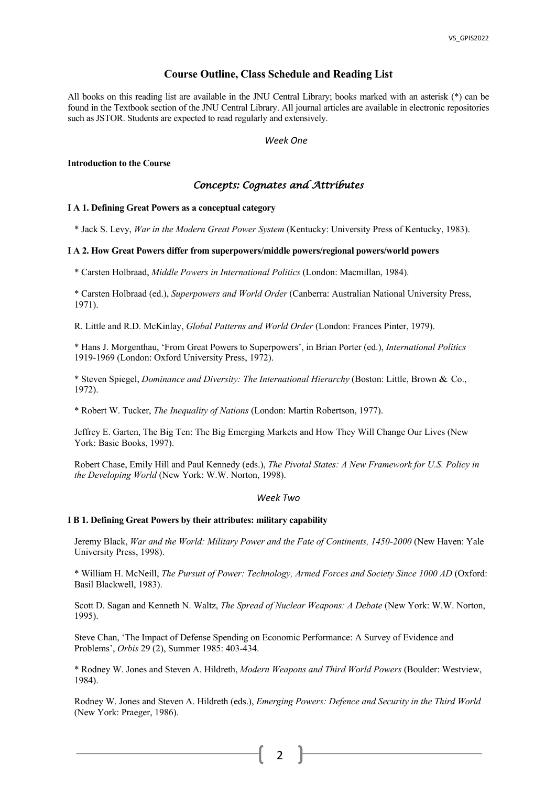## **Course Outline, Class Schedule and Reading List**

All books on this reading list are available in the JNU Central Library; books marked with an asterisk (\*) can be found in the Textbook section of the JNU Central Library. All journal articles are available in electronic repositories such as JSTOR. Students are expected to read regularly and extensively.

*Week One*

## **Introduction to the Course**

## *Concepts: Cognates and Attributes*

## **I A 1. Defining Great Powers as a conceptual category**

\* Jack S. Levy, *War in the Modern Great Power System* (Kentucky: University Press of Kentucky, 1983).

## **I A 2. How Great Powers differ from superpowers/middle powers/regional powers/world powers**

\* Carsten Holbraad, *Middle Powers in International Politics* (London: Macmillan, 1984).

\* Carsten Holbraad (ed.), *Superpowers and World Order* (Canberra: Australian National University Press, 1971).

R. Little and R.D. McKinlay, *Global Patterns and World Order* (London: Frances Pinter, 1979).

\* Hans J. Morgenthau, 'From Great Powers to Superpowers', in Brian Porter (ed.), *International Politics*  1919-1969 (London: Oxford University Press, 1972).

\* Steven Spiegel, *Dominance and Diversity: The International Hierarchy* (Boston: Little, Brown & Co., 1972).

\* Robert W. Tucker, *The Inequality of Nations* (London: Martin Robertson, 1977).

Jeffrey E. Garten, The Big Ten: The Big Emerging Markets and How They Will Change Our Lives (New York: Basic Books, 1997).

Robert Chase, Emily Hill and Paul Kennedy (eds.), *The Pivotal States: A New Framework for U.S. Policy in the Developing World* (New York: W.W. Norton, 1998).

## *Week Two*

## **I B 1. Defining Great Powers by their attributes: military capability**

Jeremy Black, *War and the World: Military Power and the Fate of Continents, 1450-2000* (New Haven: Yale University Press, 1998).

\* William H. McNeill, *The Pursuit of Power: Technology, Armed Forces and Society Since 1000 AD* (Oxford: Basil Blackwell, 1983).

Scott D. Sagan and Kenneth N. Waltz, *The Spread of Nuclear Weapons: A Debate* (New York: W.W. Norton, 1995).

Steve Chan, 'The Impact of Defense Spending on Economic Performance: A Survey of Evidence and Problems', *Orbis* 29 (2), Summer 1985: 403-434.

\* Rodney W. Jones and Steven A. Hildreth, *Modern Weapons and Third World Powers* (Boulder: Westview, 1984).

Rodney W. Jones and Steven A. Hildreth (eds.), *Emerging Powers: Defence and Security in the Third World*  (New York: Praeger, 1986).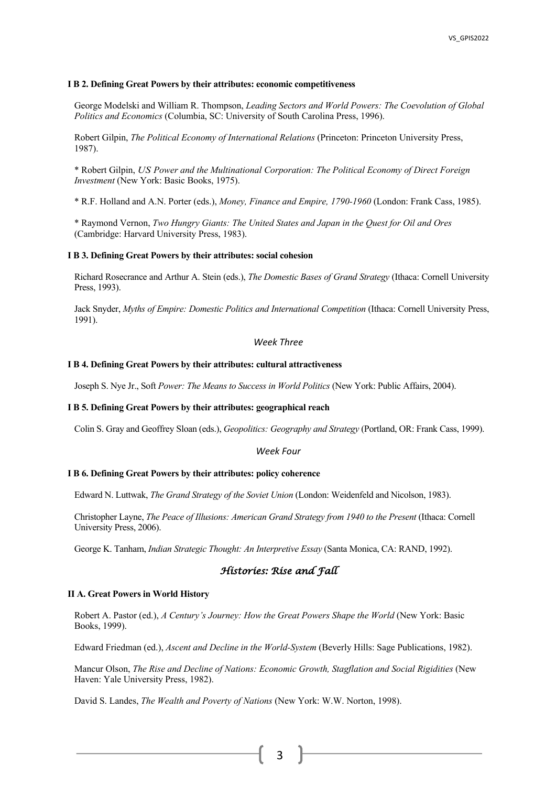## **I B 2. Defining Great Powers by their attributes: economic competitiveness**

George Modelski and William R. Thompson, *Leading Sectors and World Powers: The Coevolution of Global Politics and Economics* (Columbia, SC: University of South Carolina Press, 1996).

Robert Gilpin, *The Political Economy of International Relations* (Princeton: Princeton University Press, 1987).

\* Robert Gilpin, *US Power and the Multinational Corporation: The Political Economy of Direct Foreign Investment* (New York: Basic Books, 1975).

\* R.F. Holland and A.N. Porter (eds.), *Money, Finance and Empire, 1790-1960* (London: Frank Cass, 1985).

\* Raymond Vernon, *Two Hungry Giants: The United States and Japan in the Quest for Oil and Ores*  (Cambridge: Harvard University Press, 1983).

#### **I B 3. Defining Great Powers by their attributes: social cohesion**

Richard Rosecrance and Arthur A. Stein (eds.), *The Domestic Bases of Grand Strategy* (Ithaca: Cornell University Press, 1993).

Jack Snyder, *Myths of Empire: Domestic Politics and International Competition* (Ithaca: Cornell University Press, 1991).

## *Week Three*

## **I B 4. Defining Great Powers by their attributes: cultural attractiveness**

Joseph S. Nye Jr., Soft *Power: The Means to Success in World Politics* (New York: Public Affairs, 2004).

## **I B 5. Defining Great Powers by their attributes: geographical reach**

Colin S. Gray and Geoffrey Sloan (eds.), *Geopolitics: Geography and Strategy* (Portland, OR: Frank Cass, 1999).

#### *Week Four*

#### **I B 6. Defining Great Powers by their attributes: policy coherence**

Edward N. Luttwak, *The Grand Strategy of the Soviet Union* (London: Weidenfeld and Nicolson, 1983).

Christopher Layne, *The Peace of Illusions: American Grand Strategy from 1940 to the Present* (Ithaca: Cornell University Press, 2006).

George K. Tanham, *Indian Strategic Thought: An Interpretive Essay* (Santa Monica, CA: RAND, 1992).

## *Histories: Rise and Fall*

#### **II A. Great Powers in World History**

Robert A. Pastor (ed.), *A Century's Journey: How the Great Powers Shape the World* (New York: Basic Books, 1999).

Edward Friedman (ed.), *Ascent and Decline in the World-System* (Beverly Hills: Sage Publications, 1982).

Mancur Olson, *The Rise and Decline of Nations: Economic Growth, Stagflation and Social Rigidities* (New Haven: Yale University Press, 1982).

David S. Landes, *The Wealth and Poverty of Nations* (New York: W.W. Norton, 1998).

3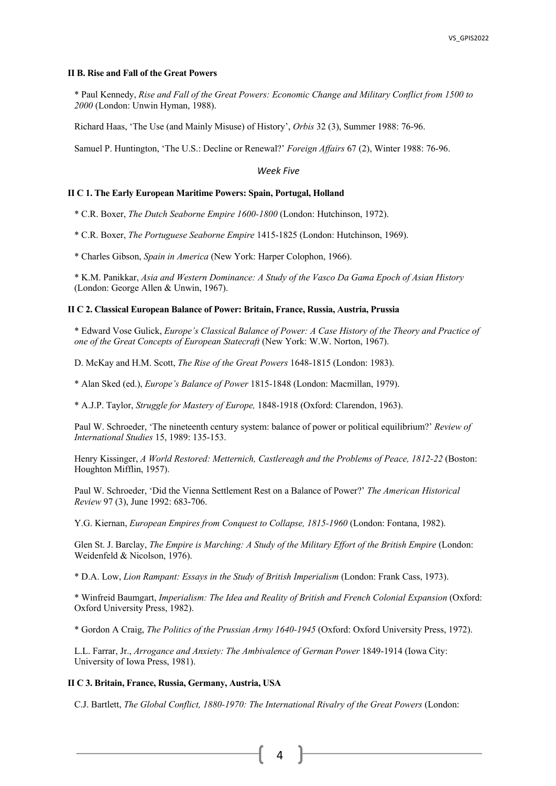#### **II B. Rise and Fall of the Great Powers**

\* Paul Kennedy, *Rise and Fall of the Great Powers: Economic Change and Military Conflict from 1500 to 2000* (London: Unwin Hyman, 1988).

Richard Haas, 'The Use (and Mainly Misuse) of History', *Orbis* 32 (3), Summer 1988: 76-96.

Samuel P. Huntington, 'The U.S.: Decline or Renewal?' *Foreign Affairs* 67 (2), Winter 1988: 76-96.

## *Week Five*

## **II C 1. The Early European Maritime Powers: Spain, Portugal, Holland**

\* C.R. Boxer, *The Dutch Seaborne Empire 1600-1800* (London: Hutchinson, 1972).

\* C.R. Boxer, *The Portuguese Seaborne Empire* 1415-1825 (London: Hutchinson, 1969).

\* Charles Gibson, *Spain in America* (New York: Harper Colophon, 1966).

\* K.M. Panikkar, *Asia and Western Dominance: A Study of the Vasco Da Gama Epoch of Asian History*  (London: George Allen & Unwin, 1967).

## **II C 2. Classical European Balance of Power: Britain, France, Russia, Austria, Prussia**

\* Edward Vose Gulick, *Europe's Classical Balance of Power: A Case History of the Theory and Practice of one of the Great Concepts of European Statecraft* (New York: W.W. Norton, 1967).

D. McKay and H.M. Scott, *The Rise of the Great Powers* 1648-1815 (London: 1983).

\* Alan Sked (ed.), *Europe's Balance of Power* 1815-1848 (London: Macmillan, 1979).

\* A.J.P. Taylor, *Struggle for Mastery of Europe,* 1848-1918 (Oxford: Clarendon, 1963).

Paul W. Schroeder, 'The nineteenth century system: balance of power or political equilibrium?' *Review of International Studies* 15, 1989: 135-153.

Henry Kissinger, *A World Restored: Metternich, Castlereagh and the Problems of Peace, 1812-22* (Boston: Houghton Mifflin, 1957).

Paul W. Schroeder, 'Did the Vienna Settlement Rest on a Balance of Power?' *The American Historical Review* 97 (3), June 1992: 683-706.

Y.G. Kiernan, *European Empires from Conquest to Collapse, 1815-1960* (London: Fontana, 1982).

Glen St. J. Barclay, *The Empire is Marching: A Study of the Military Effort of the British Empire* (London: Weidenfeld & Nicolson, 1976).

\* D.A. Low, *Lion Rampant: Essays in the Study of British Imperialism* (London: Frank Cass, 1973).

\* Winfreid Baumgart, *Imperialism: The Idea and Reality of British and French Colonial Expansion* (Oxford: Oxford University Press, 1982).

\* Gordon A Craig, *The Politics of the Prussian Army 1640-1945* (Oxford: Oxford University Press, 1972).

L.L. Farrar, Jr., *Arrogance and Anxiety: The Ambivalence of German Power* 1849-1914 (Iowa City: University of Iowa Press, 1981).

#### **II C 3. Britain, France, Russia, Germany, Austria, USA**

C.J. Bartlett, *The Global Conflict, 1880-1970: The International Rivalry of the Great Powers* (London:

4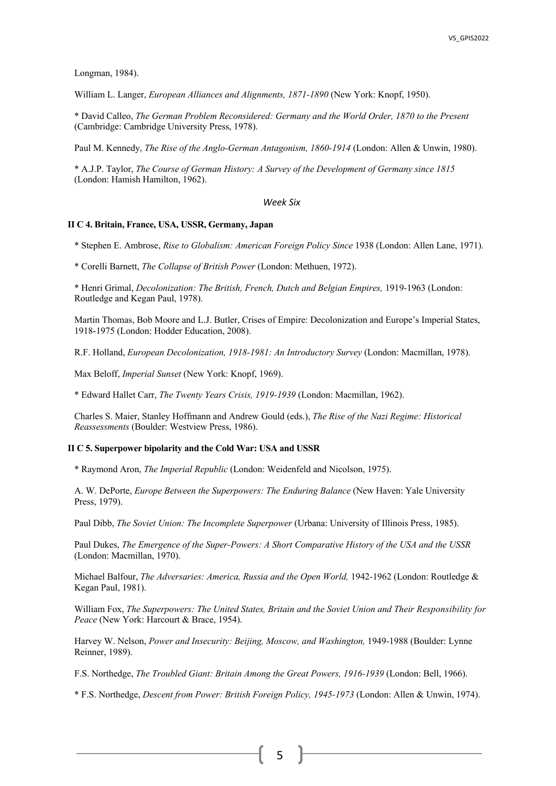Longman, 1984).

William L. Langer, *European Alliances and Alignments, 1871-1890* (New York: Knopf, 1950).

\* David Calleo, *The German Problem Reconsidered: Germany and the World Order, 1870 to the Present*  (Cambridge: Cambridge University Press, 1978).

Paul M. Kennedy, *The Rise of the Anglo-German Antagonism, 1860-1914* (London: Allen & Unwin, 1980).

\* A.J.P. Taylor, *The Course of German History: A Survey of the Development of Germany since 1815*  (London: Hamish Hamilton, 1962).

## *Week Six*

## **II C 4. Britain, France, USA, USSR, Germany, Japan**

\* Stephen E. Ambrose, *Rise to Globalism: American Foreign Policy Since* 1938 (London: Allen Lane, 1971).

\* Corelli Barnett, *The Collapse of British Power* (London: Methuen, 1972).

\* Henri Grimal, *Decolonization: The British, French, Dutch and Belgian Empires,* 1919-1963 (London: Routledge and Kegan Paul, 1978).

Martin Thomas, Bob Moore and L.J. Butler, Crises of Empire: Decolonization and Europe's Imperial States, 1918-1975 (London: Hodder Education, 2008).

R.F. Holland, *European Decolonization, 1918-1981: An Introductory Survey* (London: Macmillan, 1978).

Max Beloff, *Imperial Sunset* (New York: Knopf, 1969).

\* Edward Hallet Carr, *The Twenty Years Crisis, 1919-1939* (London: Macmillan, 1962).

Charles S. Maier, Stanley Hoffmann and Andrew Gould (eds.), *The Rise of the Nazi Regime: Historical Reassessments* (Boulder: Westview Press, 1986).

## **II C 5. Superpower bipolarity and the Cold War: USA and USSR**

\* Raymond Aron, *The Imperial Republic* (London: Weidenfeld and Nicolson, 1975).

A. W. DePorte, *Europe Between the Superpowers: The Enduring Balance* (New Haven: Yale University Press, 1979).

Paul Dibb, *The Soviet Union: The Incomplete Superpower* (Urbana: University of Illinois Press, 1985).

Paul Dukes, *The Emergence of the Super-Powers: A Short Comparative History of the USA and the USSR*  (London: Macmillan, 1970).

Michael Balfour, *The Adversaries: America, Russia and the Open World,* 1942-1962 (London: Routledge & Kegan Paul, 1981).

William Fox, *The Superpowers: The United States, Britain and the Soviet Union and Their Responsibility for Peace* (New York: Harcourt & Brace, 1954).

Harvey W. Nelson, *Power and Insecurity: Beijing, Moscow, and Washington,* 1949-1988 (Boulder: Lynne Reinner, 1989).

F.S. Northedge, *The Troubled Giant: Britain Among the Great Powers, 1916-1939* (London: Bell, 1966).

\* F.S. Northedge, *Descent from Power: British Foreign Policy, 1945-1973* (London: Allen & Unwin, 1974).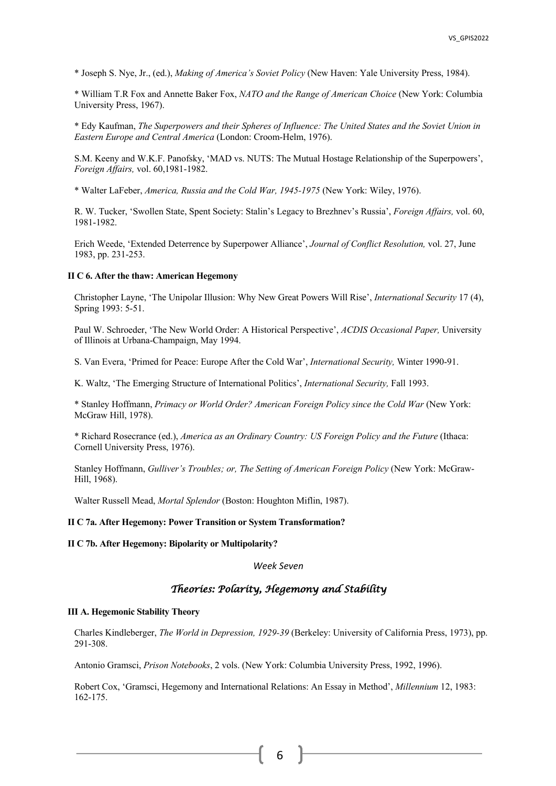\* Joseph S. Nye, Jr., (ed.), *Making of America's Soviet Policy* (New Haven: Yale University Press, 1984).

\* William T.R Fox and Annette Baker Fox, *NATO and the Range of American Choice* (New York: Columbia University Press, 1967).

\* Edy Kaufman, *The Superpowers and their Spheres of Influence: The United States and the Soviet Union in Eastern Europe and Central America* (London: Croom-Helm, 1976).

S.M. Keeny and W.K.F. Panofsky, 'MAD vs. NUTS: The Mutual Hostage Relationship of the Superpowers', *Foreign Affairs,* vol. 60,1981-1982.

\* Walter LaFeber, *America, Russia and the Cold War, 1945-1975* (New York: Wiley, 1976).

R. W. Tucker, 'Swollen State, Spent Society: Stalin's Legacy to Brezhnev's Russia', *Foreign Affairs,* vol. 60, 1981-1982.

Erich Weede, 'Extended Deterrence by Superpower Alliance', *Journal of Conflict Resolution,* vol. 27, June 1983, pp. 231-253.

## **II C 6. After the thaw: American Hegemony**

Christopher Layne, 'The Unipolar Illusion: Why New Great Powers Will Rise', *International Security* 17 (4), Spring 1993: 5-51.

Paul W. Schroeder, 'The New World Order: A Historical Perspective', *ACDIS Occasional Paper,* University of Illinois at Urbana-Champaign, May 1994.

S. Van Evera, 'Primed for Peace: Europe After the Cold War', *International Security,* Winter 1990-91.

K. Waltz, 'The Emerging Structure of International Politics', *International Security,* Fall 1993.

\* Stanley Hoffmann, *Primacy or World Order? American Foreign Policy since the Cold War* (New York: McGraw Hill, 1978).

\* Richard Rosecrance (ed.), *America as an Ordinary Country: US Foreign Policy and the Future* (Ithaca: Cornell University Press, 1976).

Stanley Hoffmann, *Gulliver's Troubles; or, The Setting of American Foreign Policy* (New York: McGraw-Hill, 1968).

Walter Russell Mead, *Mortal Splendor* (Boston: Houghton Miflin, 1987).

## **II C 7a. After Hegemony: Power Transition or System Transformation?**

**II C 7b. After Hegemony: Bipolarity or Multipolarity?**

## *Week Seven*

## *Theories: Polarity, Hegemony and Stability*

## **III A. Hegemonic Stability Theory**

Charles Kindleberger, *The World in Depression, 1929-39* (Berkeley: University of California Press, 1973), pp. 291-308.

Antonio Gramsci, *Prison Notebooks*, 2 vols. (New York: Columbia University Press, 1992, 1996).

Robert Cox, 'Gramsci, Hegemony and International Relations: An Essay in Method', *Millennium* 12, 1983: 162-175.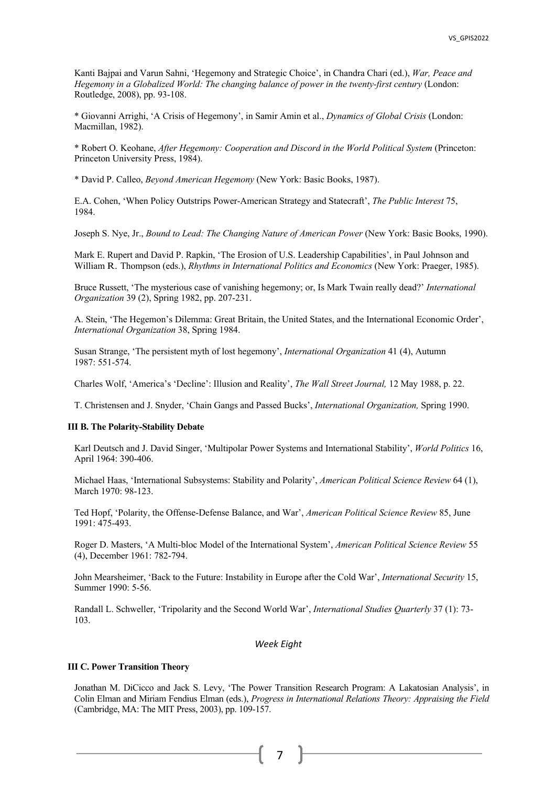Kanti Bajpai and Varun Sahni, 'Hegemony and Strategic Choice', in Chandra Chari (ed.), *War, Peace and Hegemony in a Globalized World: The changing balance of power in the twenty-first century* (London: Routledge, 2008), pp. 93-108.

\* Giovanni Arrighi, 'A Crisis of Hegemony', in Samir Amin et al., *Dynamics of Global Crisis* (London: Macmillan, 1982).

\* Robert O. Keohane, *After Hegemony: Cooperation and Discord in the World Political System* (Princeton: Princeton University Press, 1984).

\* David P. Calleo, *Beyond American Hegemony* (New York: Basic Books, 1987).

E.A. Cohen, 'When Policy Outstrips Power-American Strategy and Statecraft', *The Public Interest* 75, 1984.

Joseph S. Nye, Jr., *Bound to Lead: The Changing Nature of American Power* (New York: Basic Books, 1990).

Mark E. Rupert and David P. Rapkin, 'The Erosion of U.S. Leadership Capabilities', in Paul Johnson and William R. Thompson (eds.), *Rhythms in International Politics and Economics* (New York: Praeger, 1985).

Bruce Russett, 'The mysterious case of vanishing hegemony; or, Is Mark Twain really dead?' *International Organization* 39 (2), Spring 1982, pp. 207-231.

A. Stein, 'The Hegemon's Dilemma: Great Britain, the United States, and the International Economic Order', *International Organization* 38, Spring 1984.

Susan Strange, 'The persistent myth of lost hegemony', *International Organization* 41 (4), Autumn 1987: 551-574.

Charles Wolf, 'America's 'Decline': Illusion and Reality', *The Wall Street Journal,* 12 May 1988, p. 22.

T. Christensen and J. Snyder, 'Chain Gangs and Passed Bucks', *International Organization,* Spring 1990.

## **III B. The Polarity-Stability Debate**

Karl Deutsch and J. David Singer, 'Multipolar Power Systems and International Stability', *World Politics* 16, April 1964: 390-406.

Michael Haas, 'International Subsystems: Stability and Polarity', *American Political Science Review* 64 (1), March 1970: 98-123.

Ted Hopf, 'Polarity, the Offense-Defense Balance, and War', *American Political Science Review* 85, June 1991: 475-493.

Roger D. Masters, 'A Multi-bloc Model of the International System', *American Political Science Review* 55 (4), December 1961: 782-794.

John Mearsheimer, 'Back to the Future: Instability in Europe after the Cold War', *International Security* 15, Summer 1990: 5-56.

Randall L. Schweller, 'Tripolarity and the Second World War', *International Studies Quarterly* 37 (1): 73- 103.

## *Week Eight*

## **III C. Power Transition Theory**

Jonathan M. DiCicco and Jack S. Levy, 'The Power Transition Research Program: A Lakatosian Analysis', in Colin Elman and Miriam Fendius Elman (eds.), *Progress in International Relations Theory: Appraising the Field* (Cambridge, MA: The MIT Press, 2003), pp. 109-157.

## 7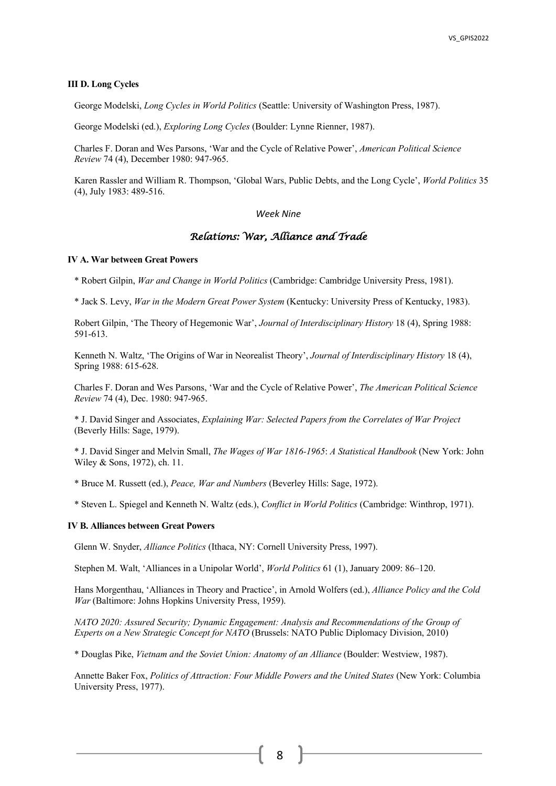## **III D. Long Cycles**

George Modelski, *Long Cycles in World Politics* (Seattle: University of Washington Press, 1987).

George Modelski (ed.), *Exploring Long Cycles* (Boulder: Lynne Rienner, 1987).

Charles F. Doran and Wes Parsons, 'War and the Cycle of Relative Power', *American Political Science Review* 74 (4), December 1980: 947-965.

Karen Rassler and William R. Thompson, 'Global Wars, Public Debts, and the Long Cycle', *World Politics* 35 (4), July 1983: 489-516.

## *Week Nine*

## *Relations: War, Alliance and Trade*

## **IV A. War between Great Powers**

\* Robert Gilpin, *War and Change in World Politics* (Cambridge: Cambridge University Press, 1981).

\* Jack S. Levy, *War in the Modern Great Power System* (Kentucky: University Press of Kentucky, 1983).

Robert Gilpin, 'The Theory of Hegemonic War', *Journal of Interdisciplinary History* 18 (4), Spring 1988: 591-613.

Kenneth N. Waltz, 'The Origins of War in Neorealist Theory', *Journal of Interdisciplinary History* 18 (4), Spring 1988: 615-628.

Charles F. Doran and Wes Parsons, 'War and the Cycle of Relative Power', *The American Political Science Review* 74 (4), Dec. 1980: 947-965.

\* J. David Singer and Associates, *Explaining War: Selected Papers from the Correlates of War Project*  (Beverly Hills: Sage, 1979).

\* J. David Singer and Melvin Small, *The Wages of War 1816-1965*: *A Statistical Handbook* (New York: John Wiley & Sons, 1972), ch. 11.

\* Bruce M. Russett (ed.), *Peace, War and Numbers* (Beverley Hills: Sage, 1972).

\* Steven L. Spiegel and Kenneth N. Waltz (eds.), *Conflict in World Politics* (Cambridge: Winthrop, 1971).

#### **IV B. Alliances between Great Powers**

Glenn W. Snyder, *Alliance Politics* (Ithaca, NY: Cornell University Press, 1997).

Stephen M. Walt, 'Alliances in a Unipolar World', *World Politics* 61 (1), January 2009: 86–120.

Hans Morgenthau, 'Alliances in Theory and Practice', in Arnold Wolfers (ed.), *Alliance Policy and the Cold War* (Baltimore: Johns Hopkins University Press, 1959).

*NATO 2020: Assured Security; Dynamic Engagement: Analysis and Recommendations of the Group of Experts on a New Strategic Concept for NATO* (Brussels: NATO Public Diplomacy Division, 2010)

\* Douglas Pike, *Vietnam and the Soviet Union: Anatomy of an Alliance* (Boulder: Westview, 1987).

Annette Baker Fox, *Politics of Attraction: Four Middle Powers and the United States* (New York: Columbia University Press, 1977).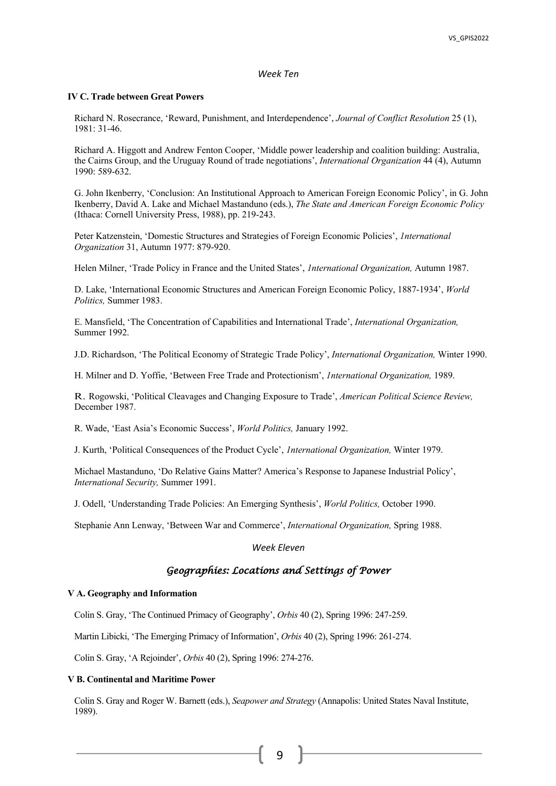## *Week Ten*

## **IV C. Trade between Great Powers**

Richard N. Rosecrance, 'Reward, Punishment, and Interdependence', *Journal of Conflict Resolution* 25 (1), 1981: 31-46.

Richard A. Higgott and Andrew Fenton Cooper, 'Middle power leadership and coalition building: Australia, the Cairns Group, and the Uruguay Round of trade negotiations', *International Organization* 44 (4), Autumn 1990: 589-632.

G. John Ikenberry, 'Conclusion: An Institutional Approach to American Foreign Economic Policy', in G. John Ikenberry, David A. Lake and Michael Mastanduno (eds.), *The State and American Foreign Economic Policy*  (Ithaca: Cornell University Press, 1988), pp. 219-243.

Peter Katzenstein, 'Domestic Structures and Strategies of Foreign Economic Policies', *1nternational Organization* 31, Autumn 1977: 879-920.

Helen Milner, 'Trade Policy in France and the United States', *1nternational Organization,* Autumn 1987.

D. Lake, 'International Economic Structures and American Foreign Economic Policy, 1887-1934', *World Politics,* Summer 1983.

E. Mansfield, 'The Concentration of Capabilities and International Trade', *International Organization,*  Summer 1992.

J.D. Richardson, 'The Political Economy of Strategic Trade Policy', *International Organization,* Winter 1990.

H. Milner and D. Yoffie, 'Between Free Trade and Protectionism', *1nternational Organization,* 1989.

R. Rogowski, 'Political Cleavages and Changing Exposure to Trade', *American Political Science Review,*  December 1987.

R. Wade, 'East Asia's Economic Success', *World Politics,* January 1992.

J. Kurth, 'Political Consequences of the Product Cycle', *1nternational Organization,* Winter 1979.

Michael Mastanduno, 'Do Relative Gains Matter? America's Response to Japanese Industrial Policy', *International Security,* Summer 1991.

J. Odell, 'Understanding Trade Policies: An Emerging Synthesis', *World Politics,* October 1990.

Stephanie Ann Lenway, 'Between War and Commerce', *International Organization,* Spring 1988.

## *Week Eleven*

## *Geographies: Locations and Settings of Power*

## **V A. Geography and Information**

Colin S. Gray, 'The Continued Primacy of Geography', *Orbis* 40 (2), Spring 1996: 247-259.

Martin Libicki, 'The Emerging Primacy of Information', *Orbis* 40 (2), Spring 1996: 261-274.

Colin S. Gray, 'A Rejoinder', *Orbis* 40 (2), Spring 1996: 274-276.

## **V B. Continental and Maritime Power**

Colin S. Gray and Roger W. Barnett (eds.), *Seapower and Strategy* (Annapolis: United States Naval Institute, 1989).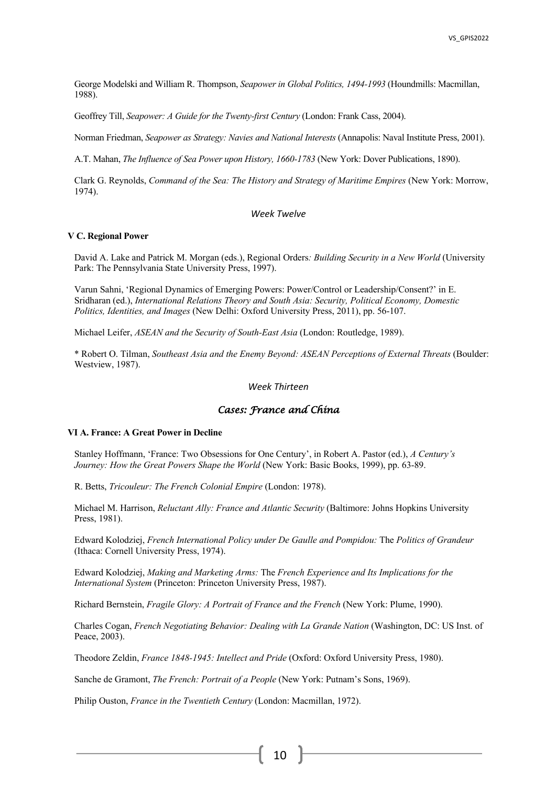George Modelski and William R. Thompson, *Seapower in Global Politics, 1494-1993* (Houndmills: Macmillan, 1988).

Geoffrey Till, *Seapower: A Guide for the Twenty-first Century* (London: Frank Cass, 2004).

Norman Friedman, *Seapower as Strategy: Navies and National Interests* (Annapolis: Naval Institute Press, 2001).

A.T. Mahan, *The Influence of Sea Power upon History, 1660-1783* (New York: Dover Publications, 1890).

Clark G. Reynolds, *Command of the Sea: The History and Strategy of Maritime Empires* (New York: Morrow, 1974).

## *Week Twelve*

#### **V C. Regional Power**

David A. Lake and Patrick M. Morgan (eds.), Regional Orders*: Building Security in a New World* (University Park: The Pennsylvania State University Press, 1997).

Varun Sahni, 'Regional Dynamics of Emerging Powers: Power/Control or Leadership/Consent?' in E. Sridharan (ed.), *International Relations Theory and South Asia: Security, Political Economy, Domestic Politics, Identities, and Images* (New Delhi: Oxford University Press, 2011), pp. 56-107.

Michael Leifer, *ASEAN and the Security of South-East Asia* (London: Routledge, 1989).

\* Robert O. Tilman, *Southeast Asia and the Enemy Beyond: ASEAN Perceptions of External Threats* (Boulder: Westview, 1987).

## *Week Thirteen*

## *Cases: France and China*

## **VI A. France: A Great Power in Decline**

Stanley Hoffmann, 'France: Two Obsessions for One Century', in Robert A. Pastor (ed.), *A Century's Journey: How the Great Powers Shape the World* (New York: Basic Books, 1999), pp. 63-89.

R. Betts, *Tricouleur: The French Colonial Empire* (London: 1978).

Michael M. Harrison, *Reluctant Ally: France and Atlantic Security* (Baltimore: Johns Hopkins University Press, 1981).

Edward Kolodziej, *French International Policy under De Gaulle and Pompidou:* The *Politics of Grandeur*  (Ithaca: Cornell University Press, 1974).

Edward Kolodziej, *Making and Marketing Arms:* The *French Experience and Its Implications for the International System* (Princeton: Princeton University Press, 1987).

Richard Bernstein, *Fragile Glory: A Portrait of France and the French* (New York: Plume, 1990).

Charles Cogan, *French Negotiating Behavior: Dealing with La Grande Nation* (Washington, DC: US Inst. of Peace, 2003).

Theodore Zeldin, *France 1848-1945: Intellect and Pride* (Oxford: Oxford University Press, 1980).

Sanche de Gramont, *The French: Portrait of a People* (New York: Putnam's Sons, 1969).

Philip Ouston, *France in the Twentieth Century* (London: Macmillan, 1972).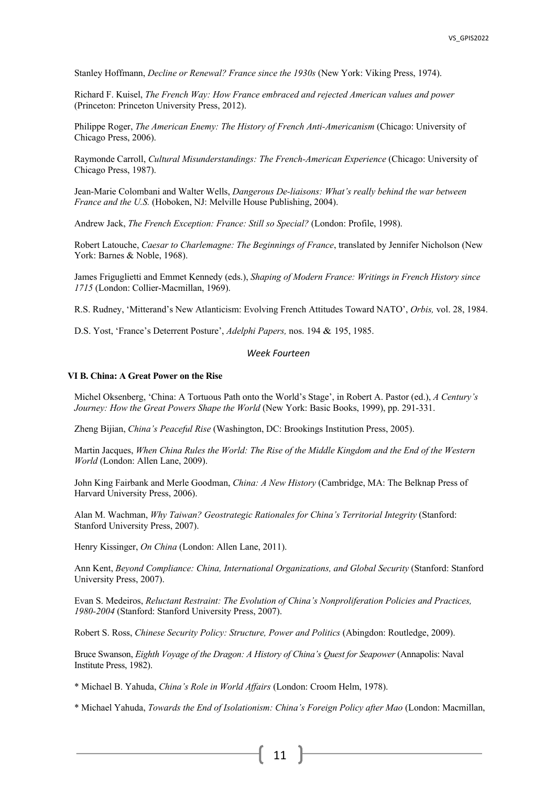Stanley Hoffmann, *Decline or Renewal? France since the 1930s* (New York: Viking Press, 1974).

Richard F. Kuisel, *The French Way: How France embraced and rejected American values and power* (Princeton: Princeton University Press, 2012).

Philippe Roger, *The American Enemy: The History of French Anti-Americanism* (Chicago: University of Chicago Press, 2006).

Raymonde Carroll, *Cultural Misunderstandings: The French-American Experience* (Chicago: University of Chicago Press, 1987).

Jean-Marie Colombani and Walter Wells, *Dangerous De-liaisons: What's really behind the war between France and the U.S.* (Hoboken, NJ: Melville House Publishing, 2004).

Andrew Jack, *The French Exception: France: Still so Special?* (London: Profile, 1998).

Robert Latouche, *Caesar to Charlemagne: The Beginnings of France*, translated by Jennifer Nicholson (New York: Barnes & Noble, 1968).

James Friguglietti and Emmet Kennedy (eds.), *Shaping of Modern France: Writings in French History since 1715* (London: Collier-Macmillan, 1969).

R.S. Rudney, 'Mitterand's New Atlanticism: Evolving French Attitudes Toward NATO', *Orbis,* vol. 28, 1984.

D.S. Yost, 'France's Deterrent Posture', *Adelphi Papers,* nos. 194 & 195, 1985.

## *Week Fourteen*

## **VI B. China: A Great Power on the Rise**

Michel Oksenberg, 'China: A Tortuous Path onto the World's Stage', in Robert A. Pastor (ed.), *A Century's Journey: How the Great Powers Shape the World (New York: Basic Books, 1999), pp. 291-331.* 

Zheng Bijian, *China's Peaceful Rise* (Washington, DC: Brookings Institution Press, 2005).

Martin Jacques, *When China Rules the World: The Rise of the Middle Kingdom and the End of the Western World* (London: Allen Lane, 2009).

John King Fairbank and Merle Goodman, *China: A New History* (Cambridge, MA: The Belknap Press of Harvard University Press, 2006).

Alan M. Wachman, *Why Taiwan? Geostrategic Rationales for China's Territorial Integrity* (Stanford: Stanford University Press, 2007).

Henry Kissinger, *On China* (London: Allen Lane, 2011).

Ann Kent, *Beyond Compliance: China, International Organizations, and Global Security* (Stanford: Stanford University Press, 2007).

Evan S. Medeiros, *Reluctant Restraint: The Evolution of China's Nonproliferation Policies and Practices, 1980-2004* (Stanford: Stanford University Press, 2007).

Robert S. Ross, *Chinese Security Policy: Structure, Power and Politics* (Abingdon: Routledge, 2009).

Bruce Swanson, *Eighth Voyage of the Dragon: A History of China's Quest for Seapower* (Annapolis: Naval Institute Press, 1982).

\* Michael B. Yahuda, *China's Role in World Affairs* (London: Croom Helm, 1978).

\* Michael Yahuda, *Towards the End of Isolationism: China's Foreign Policy after Mao* (London: Macmillan,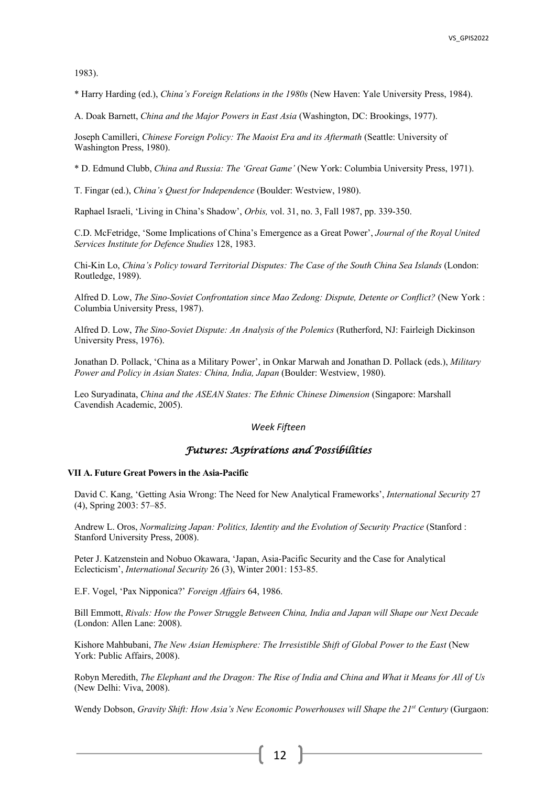1983).

\* Harry Harding (ed.), *China's Foreign Relations in the 1980s* (New Haven: Yale University Press, 1984).

A. Doak Barnett, *China and the Major Powers in East Asia* (Washington, DC: Brookings, 1977).

Joseph Camilleri, *Chinese Foreign Policy: The Maoist Era and its Aftermath* (Seattle: University of Washington Press, 1980).

\* D. Edmund Clubb, *China and Russia: The 'Great Game'* (New York: Columbia University Press, 1971).

T. Fingar (ed.), *China's Quest for Independence* (Boulder: Westview, 1980).

Raphael Israeli, 'Living in China's Shadow', *Orbis,* vol. 31, no. 3, Fall 1987, pp. 339-350.

C.D. McFetridge, 'Some Implications of China's Emergence as a Great Power', *Journal of the Royal United Services Institute for Defence Studies* 128, 1983.

Chi-Kin Lo, *China's Policy toward Territorial Disputes: The Case of the South China Sea Islands* (London: Routledge, 1989).

Alfred D. Low, *The Sino-Soviet Confrontation since Mao Zedong: Dispute, Detente or Conflict?* (New York : Columbia University Press, 1987).

Alfred D. Low, *The Sino-Soviet Dispute: An Analysis of the Polemics* (Rutherford, NJ: Fairleigh Dickinson University Press, 1976).

Jonathan D. Pollack, 'China as a Military Power', in Onkar Marwah and Jonathan D. Pollack (eds.), *Military Power and Policy in Asian States: China, India, Japan* (Boulder: Westview, 1980).

Leo Suryadinata, *China and the ASEAN States: The Ethnic Chinese Dimension* (Singapore: Marshall Cavendish Academic, 2005).

## *Week Fifteen*

## *Futures: Aspirations and Possibilities*

#### **VII A. Future Great Powers in the Asia-Pacific**

David C. Kang, 'Getting Asia Wrong: The Need for New Analytical Frameworks', *International Security* 27 (4), Spring 2003: 57–85.

Andrew L. Oros, *Normalizing Japan: Politics, Identity and the Evolution of Security Practice* (Stanford : Stanford University Press, 2008).

Peter J. Katzenstein and Nobuo Okawara, 'Japan, Asia-Pacific Security and the Case for Analytical Eclecticism', *International Security* 26 (3), Winter 2001: 153-85.

E.F. Vogel, 'Pax Nipponica?' *Foreign Affairs* 64, 1986.

Bill Emmott, *Rivals: How the Power Struggle Between China, India and Japan will Shape our Next Decade* (London: Allen Lane: 2008).

Kishore Mahbubani, *The New Asian Hemisphere: The Irresistible Shift of Global Power to the East* (New York: Public Affairs, 2008).

Robyn Meredith, *The Elephant and the Dragon: The Rise of India and China and What it Means for All of Us* (New Delhi: Viva, 2008).

Wendy Dobson, *Gravity Shift: How Asia's New Economic Powerhouses will Shape the 21<sup>st</sup> Century (Gurgaon:*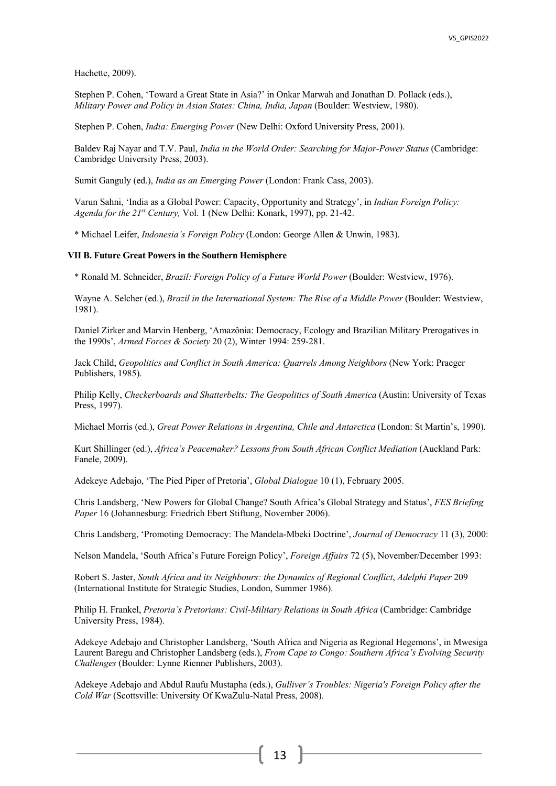Hachette, 2009).

Stephen P. Cohen, 'Toward a Great State in Asia?' in Onkar Marwah and Jonathan D. Pollack (eds.), *Military Power and Policy in Asian States: China, India, Japan* (Boulder: Westview, 1980).

Stephen P. Cohen, *India: Emerging Power* (New Delhi: Oxford University Press, 2001).

Baldev Raj Nayar and T.V. Paul, *India in the World Order: Searching for Major-Power Status* (Cambridge: Cambridge University Press, 2003).

Sumit Ganguly (ed.), *India as an Emerging Power* (London: Frank Cass, 2003).

Varun Sahni, 'India as a Global Power: Capacity, Opportunity and Strategy', in *Indian Foreign Policy: Agenda for the 21st Century,* Vol. 1 (New Delhi: Konark, 1997), pp. 21-42.

\* Michael Leifer, *Indonesia's Foreign Policy* (London: George Allen & Unwin, 1983).

## **VII B. Future Great Powers in the Southern Hemisphere**

\* Ronald M. Schneider, *Brazil: Foreign Policy of a Future World Power* (Boulder: Westview, 1976).

Wayne A. Selcher (ed.), *Brazil in the International System: The Rise of a Middle Power* (Boulder: Westview, 1981).

Daniel Zirker and Marvin Henberg, 'Amazônia: Democracy, Ecology and Brazilian Military Prerogatives in the 1990s', *Armed Forces & Society* 20 (2), Winter 1994: 259-281.

Jack Child, *Geopolitics and Conflict in South America: Quarrels Among Neighbors* (New York: Praeger Publishers, 1985).

Philip Kelly, *Checkerboards and Shatterbelts: The Geopolitics of South America* (Austin: University of Texas Press, 1997).

Michael Morris (ed.), *Great Power Relations in Argentina, Chile and Antarctica* (London: St Martin's, 1990).

Kurt Shillinger (ed.), *Africa's Peacemaker? Lessons from South African Conflict Mediation* (Auckland Park: Fanele, 2009).

Adekeye Adebajo, 'The Pied Piper of Pretoria', *Global Dialogue* 10 (1), February 2005.

Chris Landsberg, 'New Powers for Global Change? South Africa's Global Strategy and Status', *FES Briefing Paper* 16 (Johannesburg: Friedrich Ebert Stiftung, November 2006).

Chris Landsberg, 'Promoting Democracy: The Mandela-Mbeki Doctrine', *Journal of Democracy* 11 (3), 2000:

Nelson Mandela, 'South Africa's Future Foreign Policy', *Foreign Affairs* 72 (5), November/December 1993:

Robert S. Jaster, *South Africa and its Neighbours: the Dynamics of Regional Conflict*, *Adelphi Paper* 209 (International Institute for Strategic Studies, London, Summer 1986).

Philip H. Frankel, *Pretoria's Pretorians: Civil-Military Relations in South Africa* (Cambridge: Cambridge University Press, 1984).

Adekeye Adebajo and Christopher Landsberg, 'South Africa and Nigeria as Regional Hegemons', in Mwesiga Laurent Baregu and Christopher Landsberg (eds.), *From Cape to Congo: Southern Africa's Evolving Security Challenges* (Boulder: Lynne Rienner Publishers, 2003).

Adekeye Adebajo and Abdul Raufu Mustapha (eds.), *Gulliver's Troubles: Nigeria's Foreign Policy after the Cold War* (Scottsville: University Of KwaZulu-Natal Press, 2008).